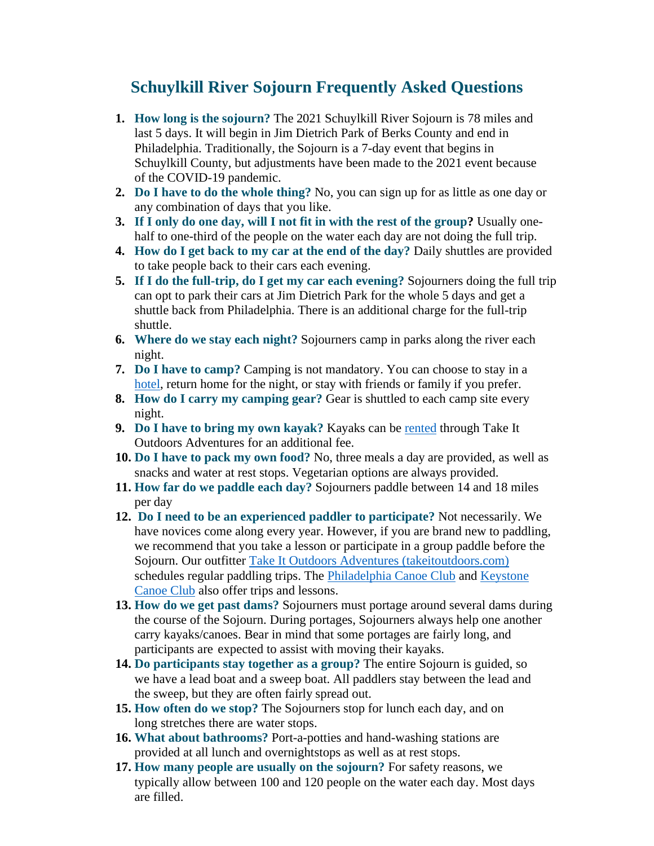## **Schuylkill River Sojourn Frequently Asked Questions**

- **1. How long is the sojourn?** The 2021 Schuylkill River Sojourn is 78 miles and last 5 days. It will begin in Jim Dietrich Park of Berks County and end in Philadelphia. Traditionally, the Sojourn is a 7-day event that begins in Schuylkill County, but adjustments have been made to the 2021 event because of the COVID-19 pandemic.
- **2. Do I have to do the whole thing?** No, you can sign up for as little as one day or any combination of days that you like.
- **3. If I only do one day, will I not fit in with the rest of the group?** Usually onehalf to one-third of the people on the water each day are not doing the full trip.
- **4. How do I get back to my car at the end of the day?** Daily shuttles are provided to take people back to their cars each evening.
- **5. If I do the full-trip, do I get my car each evening?** Sojourners doing the full trip can opt to park their cars at Jim Dietrich Park for the whole 5 days and get a shuttle back from Philadelphia. There is an additional charge for the full-trip shuttle.
- **6. Where do we stay each night?** Sojourners camp in parks along the river each night.
- **7. Do I have to camp?** Camping is not mandatory. You can choose to stay in a [hotel,](https://schuylkillriver.org/wp-content/uploads/2019/03/Sojourn-Lodging-Suggestions.pdf) return home for the night, or stay with friends or family if you prefer.
- **8. How do I carry my camping gear?** Gear is shuttled to each camp site every night.
- **9. Do I have to bring my own kayak?** Kayaks can be [rented](https://tio-llc.square.site/) through Take It Outdoors Adventures for an additional fee.
- **10. Do I have to pack my own food?** No, three meals a day are provided, as well as snacks and water at rest stops. Vegetarian options are always provided.
- **11. How far do we paddle each day?** Sojourners paddle between 14 and 18 miles per day
- **12. Do I need to be an experienced paddler to participate?** Not necessarily. We have novices come along every year. However, if you are brand new to paddling, we recommend that you take a lesson or participate in a group paddle before the Sojourn. Our outfitter [Take It Outdoors Adventures \(takeitoutdoors.com\)](http://www.takeitoutdoorsadventures.com/) schedules regular paddling trips. The [Philadelphia Canoe Club](http://www.philacanoe.org/) and [Keystone](http://www.keystonecanoeclub.com/) [Canoe](http://www.keystonecanoeclub.com/) Club also offer trips and lessons.
- **13. How do we get past dams?** Sojourners must portage around several dams during the course of the Sojourn. During portages, Sojourners always help one another carry kayaks/canoes. Bear in mind that some portages are fairly long, and participants are expected to assist with moving their kayaks.
- **14. Do participants stay together as a group?** The entire Sojourn is guided, so we have a lead boat and a sweep boat. All paddlers stay between the lead and the sweep, but they are often fairly spread out.
- **15. How often do we stop?** The Sojourners stop for lunch each day, and on long stretches there are water stops.
- **16. What about bathrooms?** Port-a-potties and hand-washing stations are provided at all lunch and overnightstops as well as at rest stops.
- **17. How many people are usually on the sojourn?** For safety reasons, we typically allow between 100 and 120 people on the water each day. Most days are filled.